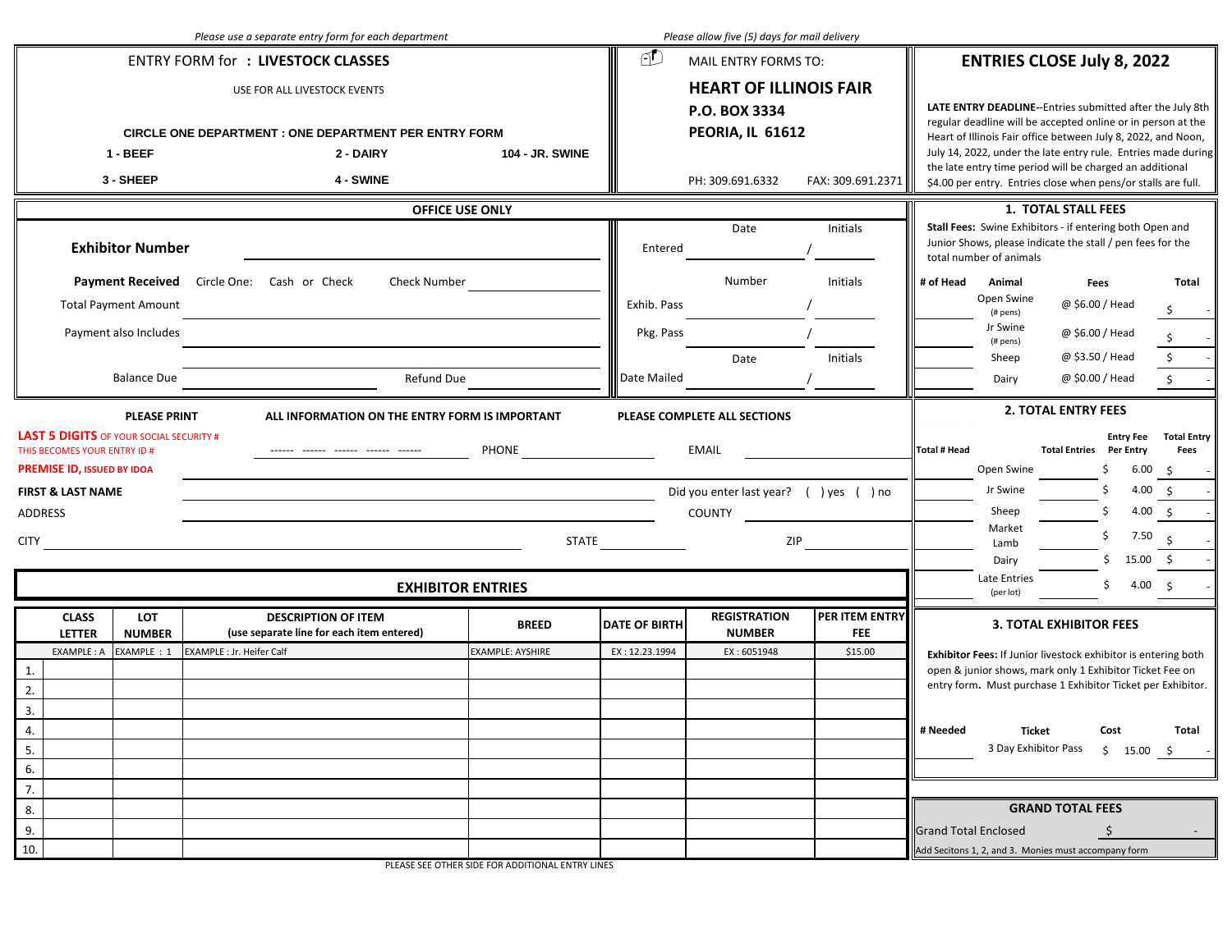|                                                                                                                                                                |                             | Please use a separate entry form for each department                                                                                                                                                           |                                   |                          | Please allow five (5) days for mail delivery                                                                                                                                                                                                                                                                                        |                              |                                                                                                                                                                                                                                                                                                                         |  |  |
|----------------------------------------------------------------------------------------------------------------------------------------------------------------|-----------------------------|----------------------------------------------------------------------------------------------------------------------------------------------------------------------------------------------------------------|-----------------------------------|--------------------------|-------------------------------------------------------------------------------------------------------------------------------------------------------------------------------------------------------------------------------------------------------------------------------------------------------------------------------------|------------------------------|-------------------------------------------------------------------------------------------------------------------------------------------------------------------------------------------------------------------------------------------------------------------------------------------------------------------------|--|--|
|                                                                                                                                                                |                             | <b>ENTRY FORM for : LIVESTOCK CLASSES</b>                                                                                                                                                                      |                                   | FD                       | MAIL ENTRY FORMS TO:                                                                                                                                                                                                                                                                                                                |                              | <b>ENTRIES CLOSE July 8, 2022</b>                                                                                                                                                                                                                                                                                       |  |  |
| USE FOR ALL LIVESTOCK EVENTS<br><b>CIRCLE ONE DEPARTMENT : ONE DEPARTMENT PER ENTRY FORM</b><br>104 - JR. SWINE<br>$1 - BEEF$<br>2 - DAIRY                     |                             |                                                                                                                                                                                                                |                                   |                          | <b>HEART OF ILLINOIS FAIR</b><br>P.O. BOX 3334<br>PEORIA, IL 61612                                                                                                                                                                                                                                                                  |                              | LATE ENTRY DEADLINE--Entries submitted after the July 8th<br>regular deadline will be accepted online or in person at the<br>Heart of Illinois Fair office between July 8, 2022, and Noon,<br>July 14, 2022, under the late entry rule. Entries made during<br>the late entry time period will be charged an additional |  |  |
|                                                                                                                                                                | 3 - SHEEP                   | <b>4 - SWINE</b>                                                                                                                                                                                               |                                   |                          | PH: 309.691.6332                                                                                                                                                                                                                                                                                                                    | FAX: 309.691.2371            | \$4.00 per entry. Entries close when pens/or stalls are full.                                                                                                                                                                                                                                                           |  |  |
| <b>OFFICE USE ONLY</b><br><b>Exhibitor Number</b>                                                                                                              |                             |                                                                                                                                                                                                                |                                   |                          | Date                                                                                                                                                                                                                                                                                                                                | Initials                     | 1. TOTAL STALL FEES<br>Stall Fees: Swine Exhibitors - if entering both Open and<br>Junior Shows, please indicate the stall / pen fees for the<br>total number of animals                                                                                                                                                |  |  |
| <b>Total Payment Amount</b>                                                                                                                                    |                             | Payment Received Circle One: Cash or Check<br>Check Number                                                                                                                                                     |                                   | Exhib. Pass              | Number                                                                                                                                                                                                                                                                                                                              | Initials                     | # of Head<br>Animal<br>Total<br>Fees<br>Open Swine<br>@ \$6.00 / Head<br>\$<br>(# pens)                                                                                                                                                                                                                                 |  |  |
| Payment also Includes<br><b>Balance Due</b>                                                                                                                    |                             | Refund Due                                                                                                                                                                                                     |                                   | Pkg. Pass<br>Date Mailed | Date                                                                                                                                                                                                                                                                                                                                | Initials                     | Jr Swine<br>@ \$6.00 / Head<br>(# pens)<br>$\boldsymbol{\mathsf{S}}$<br>@ \$3.50 / Head<br>Sheep<br>$\boldsymbol{\mathsf{S}}$<br>@ \$0.00 / Head<br>Dairy                                                                                                                                                               |  |  |
| <b>LAST 5 DIGITS</b> OF YOUR SOCIAL SECURITY #<br>THIS BECOMES YOUR ENTRY ID #<br><b>PREMISE ID, ISSUED BY IDOA</b><br><b>FIRST &amp; LAST NAME</b><br>ADDRESS | <b>PLEASE PRINT</b>         | ALL INFORMATION ON THE ENTRY FORM IS IMPORTANT<br>------ ------ ------ ------ ------<br><u> 1989 - Johann Barn, mars ann an t-Amhain ann an t-Amhain ann an t-Amhain ann an t-Amhain an t-Amhain ann an t-</u> |                                   |                          | <b>2. TOTAL ENTRY FEES</b><br>PLEASE COMPLETE ALL SECTIONS<br><b>Entry Fee</b><br><b>Total Entry</b><br>EMAIL<br><b>Total # Head</b><br><b>Total Entries Per Entry</b><br>Fees<br>Open Swine<br>Ś<br>6.00<br>- \$<br>Jr Swine<br>Ś<br>4.00 \$<br>Did you enter last year? ( ) yes ( ) no<br>Sheep<br>\$<br>4.00 \$<br><b>COUNTY</b> |                              |                                                                                                                                                                                                                                                                                                                         |  |  |
| <b>CITY</b>                                                                                                                                                    |                             |                                                                                                                                                                                                                | STATE<br><b>EXHIBITOR ENTRIES</b> |                          |                                                                                                                                                                                                                                                                                                                                     | ZIP                          | Market<br>Ś<br>7.50<br>Lamb<br>\$<br>15.00 \$<br>Dairy<br>Late Entries<br>\$<br>4.00 \$<br>(per lot)                                                                                                                                                                                                                    |  |  |
| <b>CLASS</b><br><b>LETTER</b>                                                                                                                                  | <b>LOT</b><br><b>NUMBER</b> | <b>DESCRIPTION OF ITEM</b><br>(use separate line for each item entered)                                                                                                                                        | <b>BREED</b>                      | <b>DATE OF BIRTH</b>     | <b>REGISTRATION</b><br><b>NUMBER</b>                                                                                                                                                                                                                                                                                                | PER ITEM ENTRY<br><b>FEE</b> | <b>3. TOTAL EXHIBITOR FEES</b>                                                                                                                                                                                                                                                                                          |  |  |
| EXAMPLE: A<br>1.<br>2.<br>3.<br>4.<br>5.<br>6.                                                                                                                 | EXAMPLE : 1                 | <b>EXAMPLE : Jr. Heifer Calf</b>                                                                                                                                                                               | <b>EXAMPLE: AYSHIRE</b>           | EX: 12.23.1994           | EX: 6051948                                                                                                                                                                                                                                                                                                                         | \$15.00                      | Exhibitor Fees: If Junior livestock exhibitor is entering both<br>open & junior shows, mark only 1 Exhibitor Ticket Fee on<br>entry form. Must purchase 1 Exhibitor Ticket per Exhibitor.<br># Needed<br>Ticket<br>Cost<br>Total<br>3 Day Exhibitor Pass \$ 15.00 \$                                                    |  |  |
| 7.<br>8.<br>9.<br>10.                                                                                                                                          |                             |                                                                                                                                                                                                                |                                   |                          |                                                                                                                                                                                                                                                                                                                                     |                              | <b>GRAND TOTAL FEES</b><br><b>Grand Total Enclosed</b><br>Add Secitons 1, 2, and 3. Monies must accompany form                                                                                                                                                                                                          |  |  |

PLEASE SEE OTHER SIDE FOR ADDITIONAL ENTRY LINES